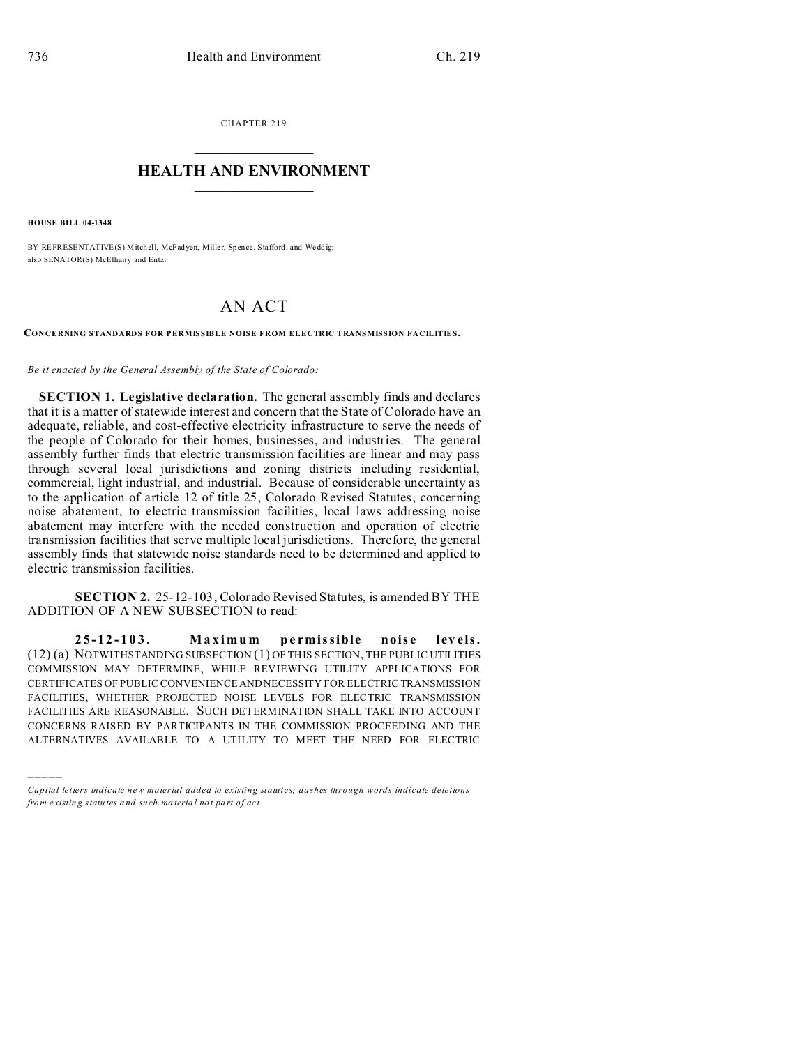CHAPTER 219  $\overline{\phantom{a}}$  , where  $\overline{\phantom{a}}$ 

## **HEALTH AND ENVIRONMENT**  $\_$   $\_$   $\_$   $\_$   $\_$   $\_$   $\_$   $\_$

**HOUSE BILL 04-1348**

)))))

BY REPRESENTATIVE(S) Mitchell, McFadyen, Miller, Spence, Stafford, and Weddig; also SENATOR(S) McElhan y and Entz.

## AN ACT

**CONCERNING STANDARDS FOR PERMISSIBLE NOISE FROM ELECTRIC TRANSMISSION FACILITIES.**

*Be it enacted by the General Assembly of the State of Colorado:*

**SECTION 1. Legislative declaration.** The general assembly finds and declares that it is a matter of statewide interest and concern that the State of Colorado have an adequate, reliable, and cost-effective electricity infrastructure to serve the needs of the people of Colorado for their homes, businesses, and industries. The general assembly further finds that electric transmission facilities are linear and may pass through several local jurisdictions and zoning districts including residential, commercial, light industrial, and industrial. Because of considerable uncertainty as to the application of article 12 of title 25, Colorado Revised Statutes, concerning noise abatement, to electric transmission facilities, local laws addressing noise abatement may interfere with the needed construction and operation of electric transmission facilities that serve multiple local jurisdictions. Therefore, the general assembly finds that statewide noise standards need to be determined and applied to electric transmission facilities.

**SECTION 2.** 25-12-103, Colorado Revised Statutes, is amended BY THE ADDITION OF A NEW SUBSECTION to read:

**25-12-103. Maximum pe rmissible nois e lev els.** (12) (a) NOTWITHSTANDING SUBSECTION (1) OF THIS SECTION, THE PUBLIC UTILITIES COMMISSION MAY DETERMINE, WHILE REVIEWING UTILITY APPLICATIONS FOR CERTIFICATES OF PUBLIC CONVENIENCE AND NECESSITY FOR ELECTRIC TRANSMISSION FACILITIES, WHETHER PROJECTED NOISE LEVELS FOR ELECTRIC TRANSMISSION FACILITIES ARE REASONABLE. SUCH DETERMINATION SHALL TAKE INTO ACCOUNT CONCERNS RAISED BY PARTICIPANTS IN THE COMMISSION PROCEEDING AND THE ALTERNATIVES AVAILABLE TO A UTILITY TO MEET THE NEED FOR ELECTRIC

*Capital letters indicate new material added to existing statutes; dashes through words indicate deletions from e xistin g statu tes a nd such ma teria l no t pa rt of ac t.*